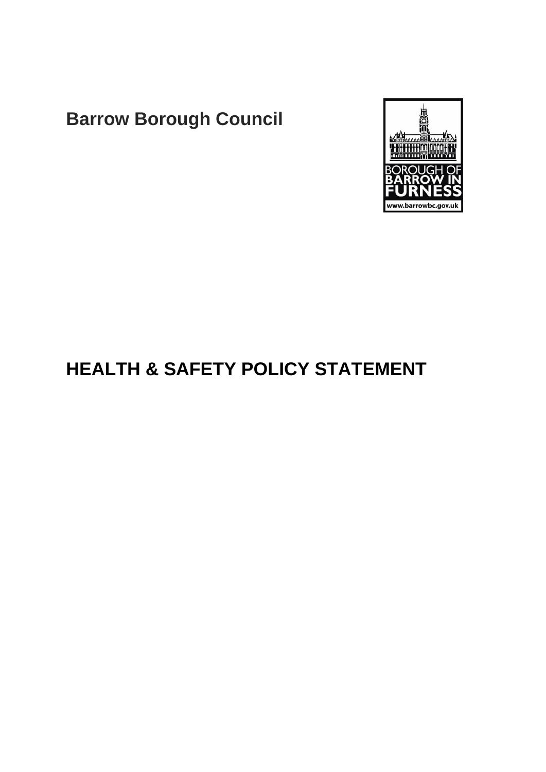# **Barrow Borough Council**



## **HEALTH & SAFETY POLICY STATEMENT**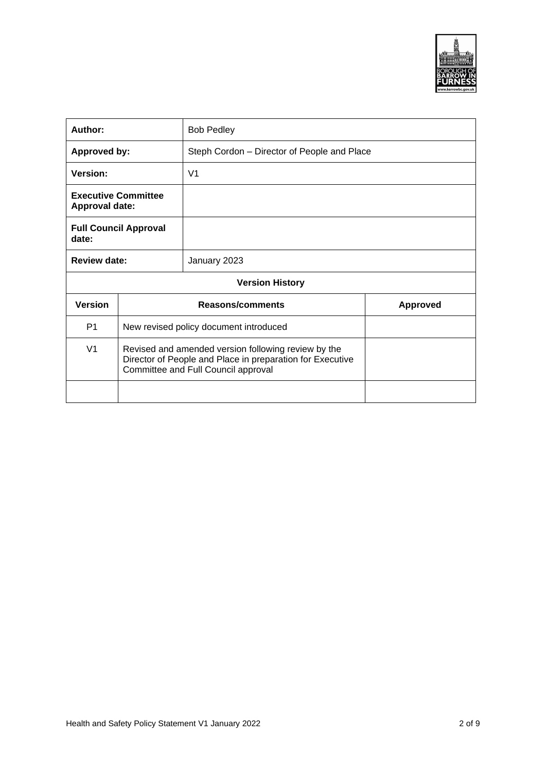

| Author:                                             |                                                                                                                                                         | <b>Bob Pedley</b>                           |                 |  |
|-----------------------------------------------------|---------------------------------------------------------------------------------------------------------------------------------------------------------|---------------------------------------------|-----------------|--|
| Approved by:                                        |                                                                                                                                                         | Steph Cordon – Director of People and Place |                 |  |
| Version:                                            |                                                                                                                                                         | V <sub>1</sub>                              |                 |  |
| <b>Executive Committee</b><br><b>Approval date:</b> |                                                                                                                                                         |                                             |                 |  |
| <b>Full Council Approval</b><br>date:               |                                                                                                                                                         |                                             |                 |  |
| Review date:                                        |                                                                                                                                                         | January 2023                                |                 |  |
| <b>Version History</b>                              |                                                                                                                                                         |                                             |                 |  |
| <b>Version</b>                                      |                                                                                                                                                         | Reasons/comments                            | <b>Approved</b> |  |
| P <sub>1</sub>                                      | New revised policy document introduced                                                                                                                  |                                             |                 |  |
| V <sub>1</sub>                                      | Revised and amended version following review by the<br>Director of People and Place in preparation for Executive<br>Committee and Full Council approval |                                             |                 |  |
|                                                     |                                                                                                                                                         |                                             |                 |  |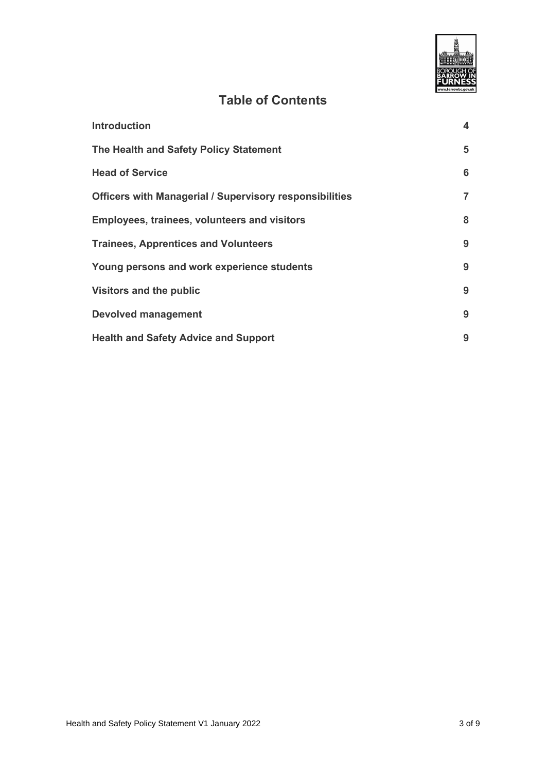

### **Table of Contents**

| <b>Introduction</b>                                            | $\overline{\mathbf{4}}$ |
|----------------------------------------------------------------|-------------------------|
| The Health and Safety Policy Statement                         | 5                       |
| <b>Head of Service</b>                                         | 6                       |
| <b>Officers with Managerial / Supervisory responsibilities</b> | $\overline{7}$          |
| <b>Employees, trainees, volunteers and visitors</b>            | 8                       |
| <b>Trainees, Apprentices and Volunteers</b>                    | 9                       |
| Young persons and work experience students                     | 9                       |
| <b>Visitors and the public</b>                                 | 9                       |
| <b>Devolved management</b>                                     | 9                       |
| <b>Health and Safety Advice and Support</b>                    | 9                       |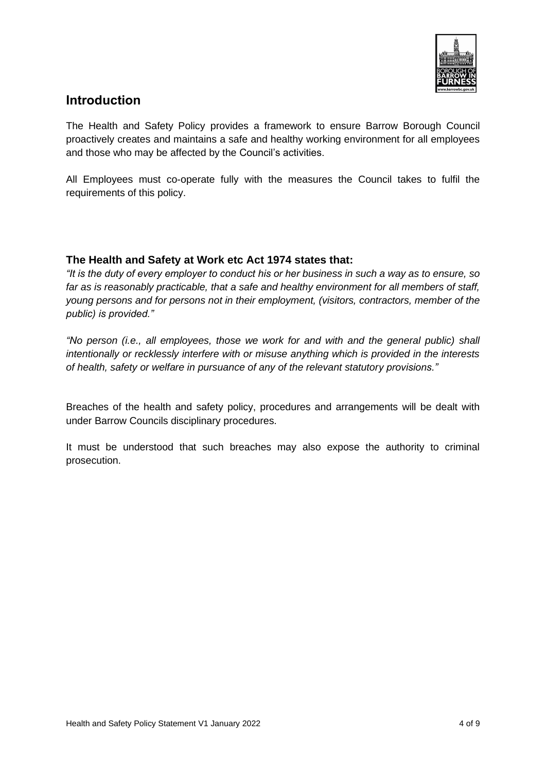

#### <span id="page-3-0"></span>**Introduction**

The Health and Safety Policy provides a framework to ensure Barrow Borough Council proactively creates and maintains a safe and healthy working environment for all employees and those who may be affected by the Council's activities.

All Employees must co-operate fully with the measures the Council takes to fulfil the requirements of this policy.

#### **The Health and Safety at Work etc Act 1974 states that:**

*"It is the duty of every employer to conduct his or her business in such a way as to ensure, so far as is reasonably practicable, that a safe and healthy environment for all members of staff, young persons and for persons not in their employment, (visitors, contractors, member of the public) is provided."*

*"No person (i.e., all employees, those we work for and with and the general public) shall intentionally or recklessly interfere with or misuse anything which is provided in the interests of health, safety or welfare in pursuance of any of the relevant statutory provisions."*

Breaches of the health and safety policy, procedures and arrangements will be dealt with under Barrow Councils disciplinary procedures.

It must be understood that such breaches may also expose the authority to criminal prosecution.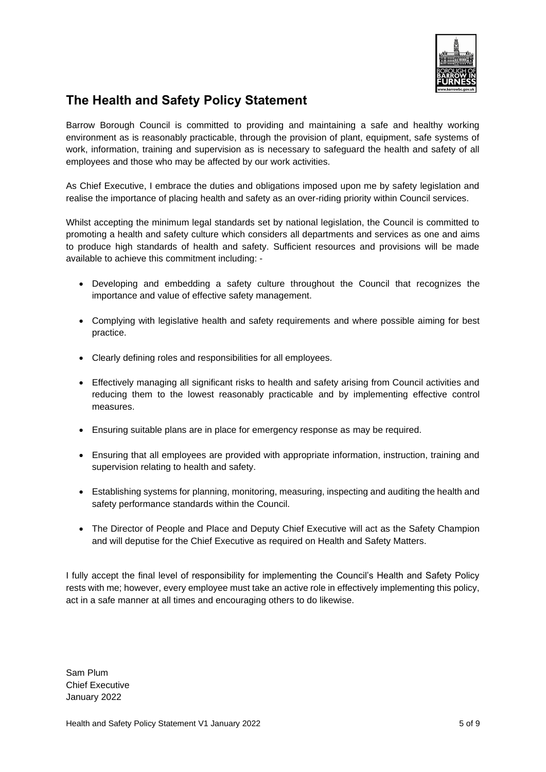

### <span id="page-4-0"></span>**The Health and Safety Policy Statement**

Barrow Borough Council is committed to providing and maintaining a safe and healthy working environment as is reasonably practicable, through the provision of plant, equipment, safe systems of work, information, training and supervision as is necessary to safeguard the health and safety of all employees and those who may be affected by our work activities.

As Chief Executive, I embrace the duties and obligations imposed upon me by safety legislation and realise the importance of placing health and safety as an over-riding priority within Council services.

Whilst accepting the minimum legal standards set by national legislation, the Council is committed to promoting a health and safety culture which considers all departments and services as one and aims to produce high standards of health and safety. Sufficient resources and provisions will be made available to achieve this commitment including: -

- Developing and embedding a safety culture throughout the Council that recognizes the importance and value of effective safety management.
- Complying with legislative health and safety requirements and where possible aiming for best practice.
- Clearly defining roles and responsibilities for all employees.
- Effectively managing all significant risks to health and safety arising from Council activities and reducing them to the lowest reasonably practicable and by implementing effective control measures.
- Ensuring suitable plans are in place for emergency response as may be required.
- Ensuring that all employees are provided with appropriate information, instruction, training and supervision relating to health and safety.
- Establishing systems for planning, monitoring, measuring, inspecting and auditing the health and safety performance standards within the Council.
- The Director of People and Place and Deputy Chief Executive will act as the Safety Champion and will deputise for the Chief Executive as required on Health and Safety Matters.

I fully accept the final level of responsibility for implementing the Council's Health and Safety Policy rests with me; however, every employee must take an active role in effectively implementing this policy, act in a safe manner at all times and encouraging others to do likewise.

Sam Plum Chief Executive January 2022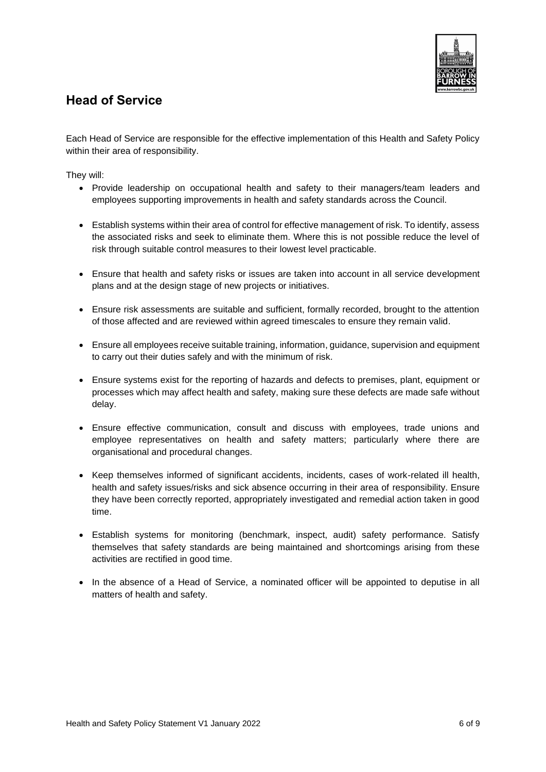

#### <span id="page-5-0"></span>**Head of Service**

Each Head of Service are responsible for the effective implementation of this Health and Safety Policy within their area of responsibility.

They will:

- Provide leadership on occupational health and safety to their managers/team leaders and employees supporting improvements in health and safety standards across the Council.
- Establish systems within their area of control for effective management of risk. To identify, assess the associated risks and seek to eliminate them. Where this is not possible reduce the level of risk through suitable control measures to their lowest level practicable.
- Ensure that health and safety risks or issues are taken into account in all service development plans and at the design stage of new projects or initiatives.
- Ensure risk assessments are suitable and sufficient, formally recorded, brought to the attention of those affected and are reviewed within agreed timescales to ensure they remain valid.
- Ensure all employees receive suitable training, information, guidance, supervision and equipment to carry out their duties safely and with the minimum of risk.
- Ensure systems exist for the reporting of hazards and defects to premises, plant, equipment or processes which may affect health and safety, making sure these defects are made safe without delay.
- Ensure effective communication, consult and discuss with employees, trade unions and employee representatives on health and safety matters; particularly where there are organisational and procedural changes.
- Keep themselves informed of significant accidents, incidents, cases of work-related ill health, health and safety issues/risks and sick absence occurring in their area of responsibility. Ensure they have been correctly reported, appropriately investigated and remedial action taken in good time.
- Establish systems for monitoring (benchmark, inspect, audit) safety performance. Satisfy themselves that safety standards are being maintained and shortcomings arising from these activities are rectified in good time.
- In the absence of a Head of Service, a nominated officer will be appointed to deputise in all matters of health and safety.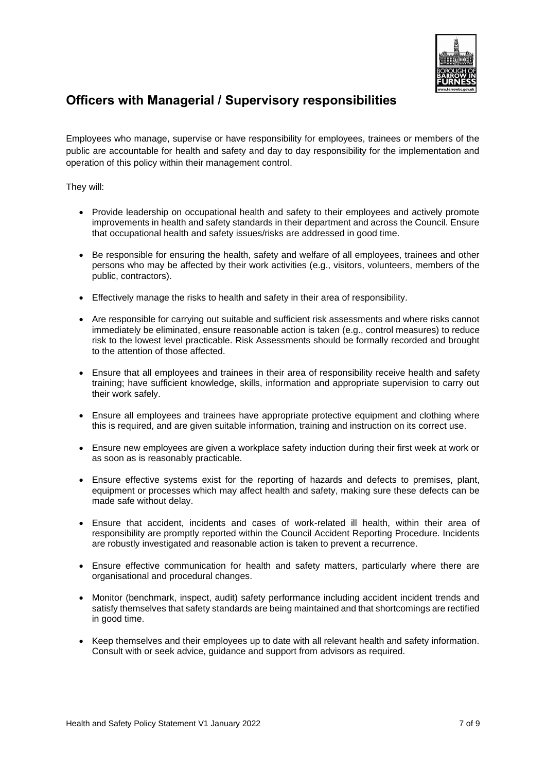

#### <span id="page-6-0"></span>**Officers with Managerial / Supervisory responsibilities**

Employees who manage, supervise or have responsibility for employees, trainees or members of the public are accountable for health and safety and day to day responsibility for the implementation and operation of this policy within their management control.

They will:

- Provide leadership on occupational health and safety to their employees and actively promote improvements in health and safety standards in their department and across the Council. Ensure that occupational health and safety issues/risks are addressed in good time.
- Be responsible for ensuring the health, safety and welfare of all employees, trainees and other persons who may be affected by their work activities (e.g., visitors, volunteers, members of the public, contractors).
- Effectively manage the risks to health and safety in their area of responsibility.
- Are responsible for carrying out suitable and sufficient risk assessments and where risks cannot immediately be eliminated, ensure reasonable action is taken (e.g., control measures) to reduce risk to the lowest level practicable. Risk Assessments should be formally recorded and brought to the attention of those affected.
- Ensure that all employees and trainees in their area of responsibility receive health and safety training; have sufficient knowledge, skills, information and appropriate supervision to carry out their work safely.
- Ensure all employees and trainees have appropriate protective equipment and clothing where this is required, and are given suitable information, training and instruction on its correct use.
- Ensure new employees are given a workplace safety induction during their first week at work or as soon as is reasonably practicable.
- Ensure effective systems exist for the reporting of hazards and defects to premises, plant, equipment or processes which may affect health and safety, making sure these defects can be made safe without delay.
- Ensure that accident, incidents and cases of work-related ill health, within their area of responsibility are promptly reported within the Council Accident Reporting Procedure. Incidents are robustly investigated and reasonable action is taken to prevent a recurrence.
- Ensure effective communication for health and safety matters, particularly where there are organisational and procedural changes.
- Monitor (benchmark, inspect, audit) safety performance including accident incident trends and satisfy themselves that safety standards are being maintained and that shortcomings are rectified in good time.
- Keep themselves and their employees up to date with all relevant health and safety information. Consult with or seek advice, guidance and support from advisors as required.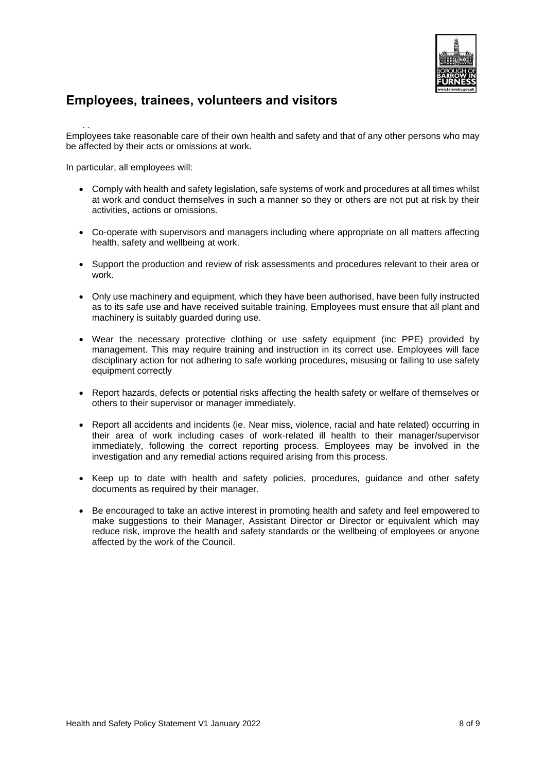

#### <span id="page-7-0"></span>**Employees, trainees, volunteers and visitors**

. . Employees take reasonable care of their own health and safety and that of any other persons who may be affected by their acts or omissions at work.

In particular, all employees will:

- Comply with health and safety legislation, safe systems of work and procedures at all times whilst at work and conduct themselves in such a manner so they or others are not put at risk by their activities, actions or omissions.
- Co-operate with supervisors and managers including where appropriate on all matters affecting health, safety and wellbeing at work.
- Support the production and review of risk assessments and procedures relevant to their area or work.
- Only use machinery and equipment, which they have been authorised, have been fully instructed as to its safe use and have received suitable training. Employees must ensure that all plant and machinery is suitably guarded during use.
- Wear the necessary protective clothing or use safety equipment (inc PPE) provided by management. This may require training and instruction in its correct use. Employees will face disciplinary action for not adhering to safe working procedures, misusing or failing to use safety equipment correctly
- Report hazards, defects or potential risks affecting the health safety or welfare of themselves or others to their supervisor or manager immediately.
- Report all accidents and incidents (ie. Near miss, violence, racial and hate related) occurring in their area of work including cases of work-related ill health to their manager/supervisor immediately, following the correct reporting process. Employees may be involved in the investigation and any remedial actions required arising from this process.
- Keep up to date with health and safety policies, procedures, quidance and other safety documents as required by their manager.
- Be encouraged to take an active interest in promoting health and safety and feel empowered to make suggestions to their Manager, Assistant Director or Director or equivalent which may reduce risk, improve the health and safety standards or the wellbeing of employees or anyone affected by the work of the Council.